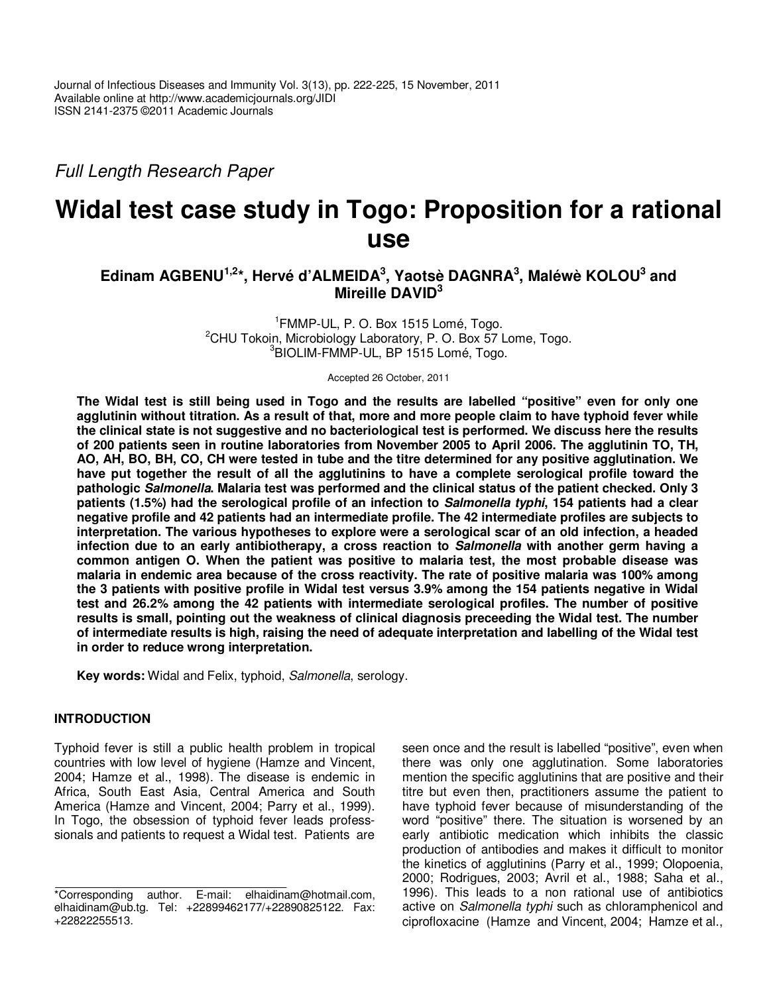Full Length Research Paper

# **Widal test case study in Togo: Proposition for a rational use**

## **Edinam AGBENU1,2\*, Hervé d'ALMEIDA<sup>3</sup> , Yaotsè DAGNRA<sup>3</sup> , Maléwè KOLOU<sup>3</sup> and Mireille DAVID<sup>3</sup>**

1 FMMP-UL, P. O. Box 1515 Lomé, Togo. <sup>2</sup>CHU Tokoin, Microbiology Laboratory, P. O. Box 57 Lome, Togo. <sup>3</sup>BIOLIM-FMMP-UL, BP 1515 Lomé, Togo.

Accepted 26 October, 2011

**The Widal test is still being used in Togo and the results are labelled "positive" even for only one agglutinin without titration. As a result of that, more and more people claim to have typhoid fever while the clinical state is not suggestive and no bacteriological test is performed. We discuss here the results of 200 patients seen in routine laboratories from November 2005 to April 2006. The agglutinin TO, TH, AO, AH, BO, BH, CO, CH were tested in tube and the titre determined for any positive agglutination. We have put together the result of all the agglutinins to have a complete serological profile toward the pathologic Salmonella. Malaria test was performed and the clinical status of the patient checked. Only 3 patients (1.5%) had the serological profile of an infection to Salmonella typhi, 154 patients had a clear negative profile and 42 patients had an intermediate profile. The 42 intermediate profiles are subjects to interpretation. The various hypotheses to explore were a serological scar of an old infection, a headed infection due to an early antibiotherapy, a cross reaction to Salmonella with another germ having a common antigen O. When the patient was positive to malaria test, the most probable disease was malaria in endemic area because of the cross reactivity. The rate of positive malaria was 100% among the 3 patients with positive profile in Widal test versus 3.9% among the 154 patients negative in Widal test and 26.2% among the 42 patients with intermediate serological profiles. The number of positive results is small, pointing out the weakness of clinical diagnosis preceeding the Widal test. The number of intermediate results is high, raising the need of adequate interpretation and labelling of the Widal test in order to reduce wrong interpretation.** 

**Key words:** Widal and Felix, typhoid, Salmonella, serology.

### **INTRODUCTION**

Typhoid fever is still a public health problem in tropical countries with low level of hygiene (Hamze and Vincent, 2004; Hamze et al., 1998). The disease is endemic in Africa, South East Asia, Central America and South America (Hamze and Vincent, 2004; Parry et al., 1999). In Togo, the obsession of typhoid fever leads professsionals and patients to request a Widal test. Patients are seen once and the result is labelled "positive", even when there was only one agglutination. Some laboratories mention the specific agglutinins that are positive and their titre but even then, practitioners assume the patient to have typhoid fever because of misunderstanding of the word "positive" there. The situation is worsened by an early antibiotic medication which inhibits the classic production of antibodies and makes it difficult to monitor the kinetics of agglutinins (Parry et al., 1999; Olopoenia, 2000; Rodrigues, 2003; Avril et al., 1988; Saha et al., 1996). This leads to a non rational use of antibiotics active on Salmonella typhi such as chloramphenicol and ciprofloxacine (Hamze and Vincent, 2004; Hamze et al.,

<sup>\*</sup>Corresponding author. E-mail: elhaidinam@hotmail.com, elhaidinam@ub.tg. Tel: +22899462177/+22890825122. Fax: +22822255513.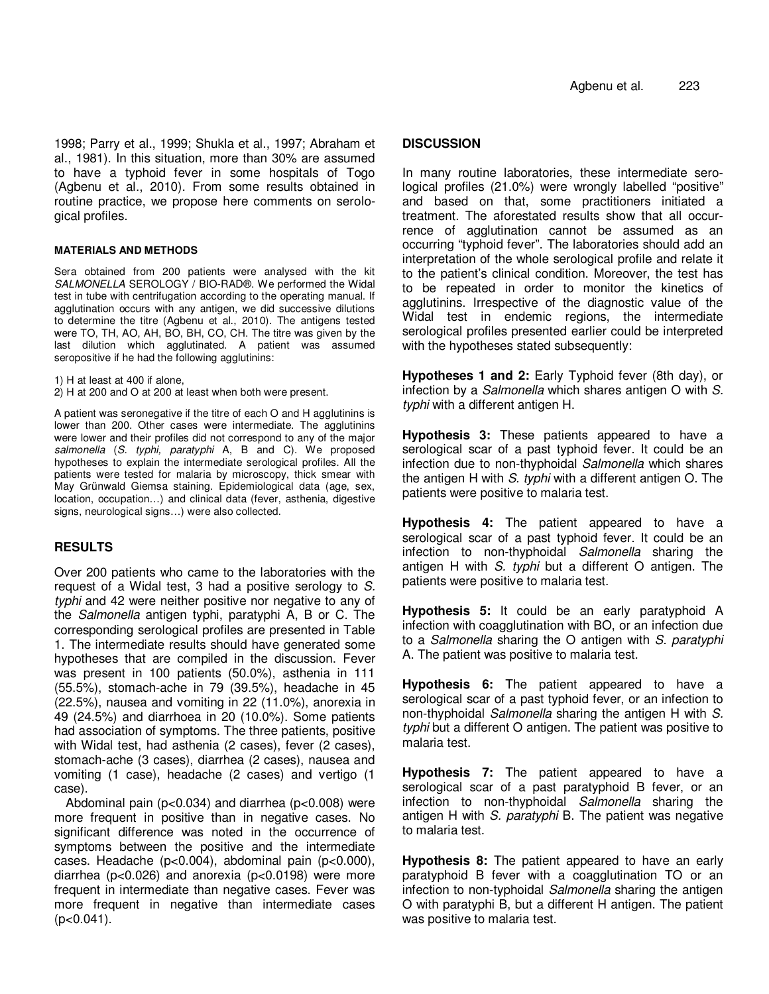1998; Parry et al., 1999; Shukla et al., 1997; Abraham et al., 1981). In this situation, more than 30% are assumed to have a typhoid fever in some hospitals of Togo (Agbenu et al., 2010). From some results obtained in routine practice, we propose here comments on serological profiles.

#### **MATERIALS AND METHODS**

Sera obtained from 200 patients were analysed with the kit SALMONELLA SEROLOGY / BIO-RAD®. We performed the Widal test in tube with centrifugation according to the operating manual. If agglutination occurs with any antigen, we did successive dilutions to determine the titre (Agbenu et al., 2010). The antigens tested were TO, TH, AO, AH, BO, BH, CO, CH. The titre was given by the last dilution which agglutinated. A patient was assumed seropositive if he had the following agglutinins:

1) H at least at 400 if alone,

2) H at 200 and O at 200 at least when both were present.

A patient was seronegative if the titre of each O and H agglutinins is lower than 200. Other cases were intermediate. The agglutinins were lower and their profiles did not correspond to any of the major salmonella (S. typhi, paratyphi A, B and C). We proposed hypotheses to explain the intermediate serological profiles. All the patients were tested for malaria by microscopy, thick smear with May Grünwald Giemsa staining. Epidemiological data (age, sex, location, occupation…) and clinical data (fever, asthenia, digestive signs, neurological signs…) were also collected.

### **RESULTS**

Over 200 patients who came to the laboratories with the request of a Widal test, 3 had a positive serology to S. typhi and 42 were neither positive nor negative to any of the Salmonella antigen typhi, paratyphi A, B or C. The corresponding serological profiles are presented in Table 1. The intermediate results should have generated some hypotheses that are compiled in the discussion. Fever was present in 100 patients (50.0%), asthenia in 111 (55.5%), stomach-ache in 79 (39.5%), headache in 45 (22.5%), nausea and vomiting in 22 (11.0%), anorexia in 49 (24.5%) and diarrhoea in 20 (10.0%). Some patients had association of symptoms. The three patients, positive with Widal test, had asthenia (2 cases), fever (2 cases), stomach-ache (3 cases), diarrhea (2 cases), nausea and vomiting (1 case), headache (2 cases) and vertigo (1 case).

Abdominal pain (p<0.034) and diarrhea (p<0.008) were more frequent in positive than in negative cases. No significant difference was noted in the occurrence of symptoms between the positive and the intermediate cases. Headache (p<0.004), abdominal pain (p<0.000), diarrhea (p<0.026) and anorexia (p<0.0198) were more frequent in intermediate than negative cases. Fever was more frequent in negative than intermediate cases  $(p<0.041)$ .

#### **DISCUSSION**

In many routine laboratories, these intermediate serological profiles (21.0%) were wrongly labelled "positive" and based on that, some practitioners initiated a treatment. The aforestated results show that all occurrence of agglutination cannot be assumed as an occurring "typhoid fever". The laboratories should add an interpretation of the whole serological profile and relate it to the patient's clinical condition. Moreover, the test has to be repeated in order to monitor the kinetics of agglutinins. Irrespective of the diagnostic value of the Widal test in endemic regions, the intermediate serological profiles presented earlier could be interpreted with the hypotheses stated subsequently:

**Hypotheses 1 and 2:** Early Typhoid fever (8th day), or infection by a Salmonella which shares antigen O with S. typhi with a different antigen H.

**Hypothesis 3:** These patients appeared to have a serological scar of a past typhoid fever. It could be an infection due to non-thyphoidal Salmonella which shares the antigen H with S. typhi with a different antigen O. The patients were positive to malaria test.

**Hypothesis 4:** The patient appeared to have a serological scar of a past typhoid fever. It could be an infection to non-thyphoidal Salmonella sharing the antigen H with S. typhi but a different O antigen. The patients were positive to malaria test.

**Hypothesis 5:** It could be an early paratyphoid A infection with coagglutination with BO, or an infection due to a Salmonella sharing the O antigen with S. paratyphi A. The patient was positive to malaria test.

**Hypothesis 6:** The patient appeared to have a serological scar of a past typhoid fever, or an infection to non-thyphoidal Salmonella sharing the antigen H with S. typhi but a different O antigen. The patient was positive to malaria test.

**Hypothesis 7:** The patient appeared to have a serological scar of a past paratyphoid B fever, or an infection to non-thyphoidal Salmonella sharing the antigen H with S. paratyphi B. The patient was negative to malaria test.

**Hypothesis 8:** The patient appeared to have an early paratyphoid B fever with a coagglutination TO or an infection to non-typhoidal Salmonella sharing the antigen O with paratyphi B, but a different H antigen. The patient was positive to malaria test.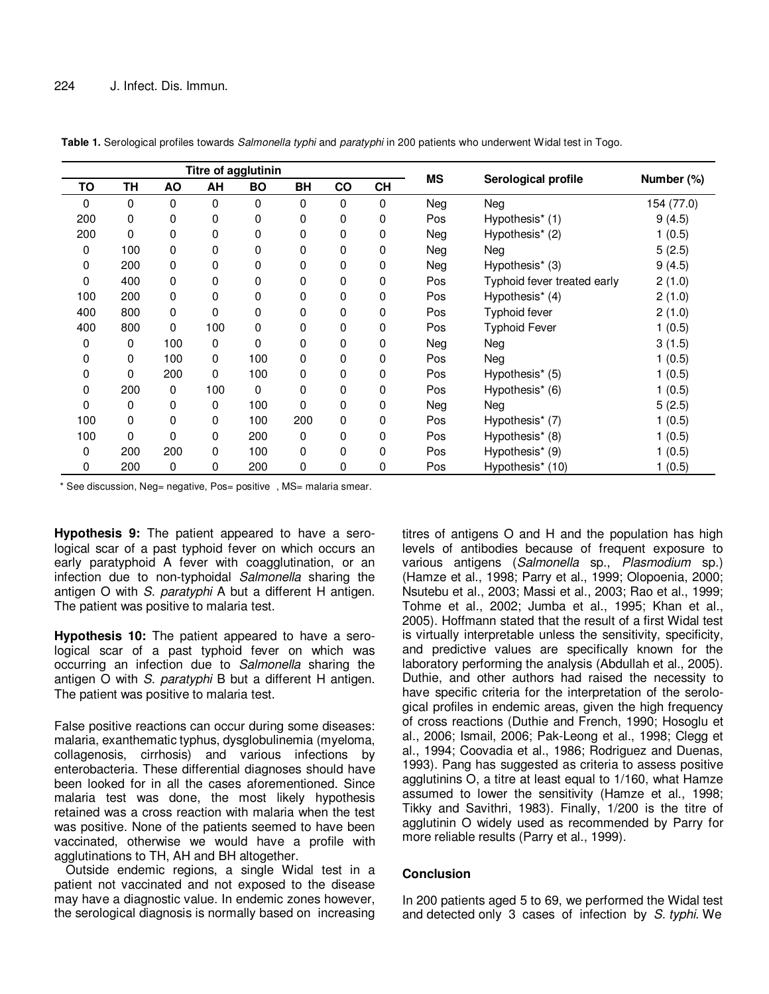| Titre of agglutinin |           |     |             |           |           |               |           |           |                             |            |
|---------------------|-----------|-----|-------------|-----------|-----------|---------------|-----------|-----------|-----------------------------|------------|
| TO                  | <b>TH</b> | AO  | AH          | <b>BO</b> | <b>BH</b> | $\mathsf{co}$ | <b>CH</b> | <b>MS</b> | Serological profile         | Number (%) |
| 0                   | 0         | 0   | $\Omega$    | 0         | $\Omega$  | 0             | 0         | Neg       | Neg                         | 154 (77.0) |
| 200                 | 0         | 0   | 0           | 0         | 0         | 0             | 0         | Pos       | Hypothesis* (1)             | 9(4.5)     |
| 200                 | 0         | 0   | 0           | 0         | 0         | 0             | 0         | Neg       | Hypothesis* (2)             | 1(0.5)     |
| 0                   | 100       | 0   | 0           | 0         | 0         | 0             | 0         | Neg       | Neg                         | 5(2.5)     |
| 0                   | 200       | 0   | 0           | 0         | 0         | 0             | 0         | Neg       | Hypothesis <sup>*</sup> (3) | 9(4.5)     |
| 0                   | 400       | 0   | 0           | 0         | 0         | 0             | 0         | Pos       | Typhoid fever treated early | 2(1.0)     |
| 100                 | 200       | 0   | 0           | 0         | 0         | 0             | 0         | Pos       | Hypothesis* (4)             | 2(1.0)     |
| 400                 | 800       | 0   | $\Omega$    | 0         | 0         | 0             | 0         | Pos       | Typhoid fever               | 2(1.0)     |
| 400                 | 800       | 0   | 100         | 0         | 0         | 0             | 0         | Pos       | <b>Typhoid Fever</b>        | 1(0.5)     |
| 0                   | 0         | 100 | $\mathbf 0$ | 0         | 0         | 0             | 0         | Neg       | Neg                         | 3(1.5)     |
| 0                   | 0         | 100 | 0           | 100       | 0         | 0             | 0         | Pos       | Neg                         | 1(0.5)     |
| 0                   | 0         | 200 | 0           | 100       | 0         | 0             | 0         | Pos       | Hypothesis* (5)             | 1(0.5)     |
| 0                   | 200       | 0   | 100         | 0         | 0         | 0             | 0         | Pos       | Hypothesis* (6)             | 1(0.5)     |
| 0                   | 0         | 0   | 0           | 100       | 0         | 0             | 0         | Neg       | Neg                         | 5(2.5)     |
| 100                 | 0         | 0   | 0           | 100       | 200       | 0             | 0         | Pos       | Hypothesis* (7)             | 1(0.5)     |
| 100                 | 0         | 0   | 0           | 200       | 0         | 0             | 0         | Pos       | Hypothesis* (8)             | 1(0.5)     |
| 0                   | 200       | 200 | 0           | 100       | 0         | 0             | 0         | Pos       | Hypothesis* (9)             | 1(0.5)     |
| 0                   | 200       | 0   | 0           | 200       | 0         | 0             | 0         | Pos       | Hypothesis* (10)            | 1(0.5)     |

**Table 1.** Serological profiles towards Salmonella typhi and paratyphi in 200 patients who underwent Widal test in Togo.

\* See discussion, Neg= negative, Pos= positive , MS= malaria smear.

**Hypothesis 9:** The patient appeared to have a serological scar of a past typhoid fever on which occurs an early paratyphoid A fever with coagglutination, or an infection due to non-typhoidal Salmonella sharing the antigen O with S. paratyphi A but a different H antigen. The patient was positive to malaria test.

**Hypothesis 10:** The patient appeared to have a serological scar of a past typhoid fever on which was occurring an infection due to Salmonella sharing the antigen O with S. paratyphi B but a different H antigen. The patient was positive to malaria test.

False positive reactions can occur during some diseases: malaria, exanthematic typhus, dysglobulinemia (myeloma, collagenosis, cirrhosis) and various infections by enterobacteria. These differential diagnoses should have been looked for in all the cases aforementioned. Since malaria test was done, the most likely hypothesis retained was a cross reaction with malaria when the test was positive. None of the patients seemed to have been vaccinated, otherwise we would have a profile with agglutinations to TH, AH and BH altogether.

Outside endemic regions, a single Widal test in a patient not vaccinated and not exposed to the disease may have a diagnostic value. In endemic zones however, the serological diagnosis is normally based on increasing

titres of antigens O and H and the population has high levels of antibodies because of frequent exposure to various antigens (Salmonella sp., Plasmodium sp.) (Hamze et al., 1998; Parry et al., 1999; Olopoenia, 2000; Nsutebu et al., 2003; Massi et al., 2003; Rao et al., 1999; Tohme et al., 2002; Jumba et al., 1995; Khan et al., 2005). Hoffmann stated that the result of a first Widal test is virtually interpretable unless the sensitivity, specificity, and predictive values are specifically known for the laboratory performing the analysis (Abdullah et al., 2005). Duthie, and other authors had raised the necessity to have specific criteria for the interpretation of the serological profiles in endemic areas, given the high frequency of cross reactions (Duthie and French, 1990; Hosoglu et al., 2006; Ismail, 2006; Pak-Leong et al., 1998; Clegg et al., 1994; Coovadia et al., 1986; Rodriguez and Duenas, 1993). Pang has suggested as criteria to assess positive agglutinins O, a titre at least equal to 1/160, what Hamze assumed to lower the sensitivity (Hamze et al., 1998; Tikky and Savithri, 1983). Finally, 1/200 is the titre of agglutinin O widely used as recommended by Parry for more reliable results (Parry et al., 1999).

### **Conclusion**

In 200 patients aged 5 to 69, we performed the Widal test and detected only 3 cases of infection by S. typhi. We